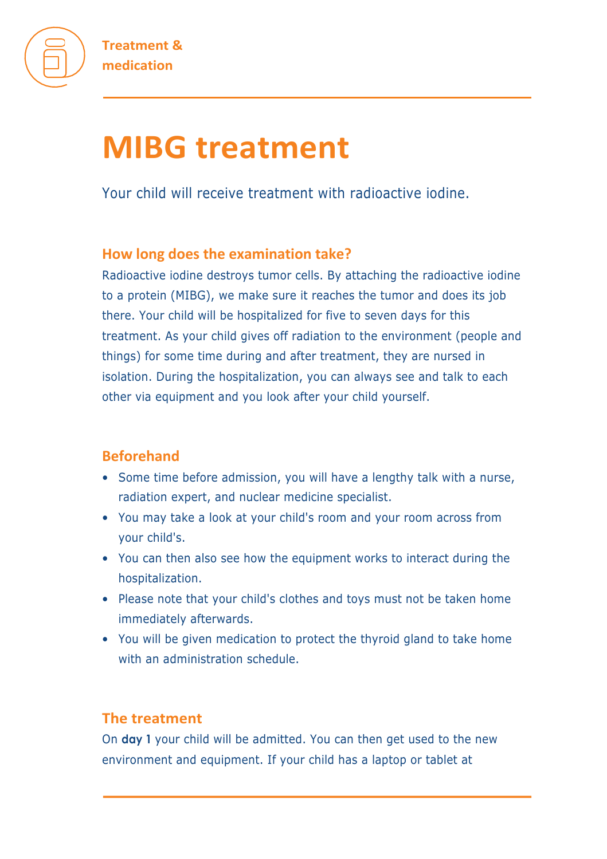

# **MIBG treatment**

Your child will receive treatment with radioactive iodine.

# **How long does the examination take?**

Radioactive iodine destroys tumor cells. By attaching the radioactive iodine to a protein (MIBG), we make sure it reaches the tumor and does its job there. Your child will be hospitalized for five to seven days for this treatment. As your child gives off radiation to the environment (people and things) for some time during and after treatment, they are nursed in isolation. During the hospitalization, you can always see and talk to each other via equipment and you look after your child yourself.

# **Beforehand**

- Some time before admission, you will have a lengthy talk with a nurse, radiation expert, and nuclear medicine specialist.
- You may take a look at your child's room and your room across from your child's.
- You can then also see how the equipment works to interact during the hospitalization.
- Please note that your child's clothes and toys must not be taken home immediately afterwards.
- You will be given medication to protect the thyroid gland to take home with an administration schedule.

# **The treatment**

On **day 1** your child will be admitted. You can then get used to the new environment and equipment. If your child has a laptop or tablet at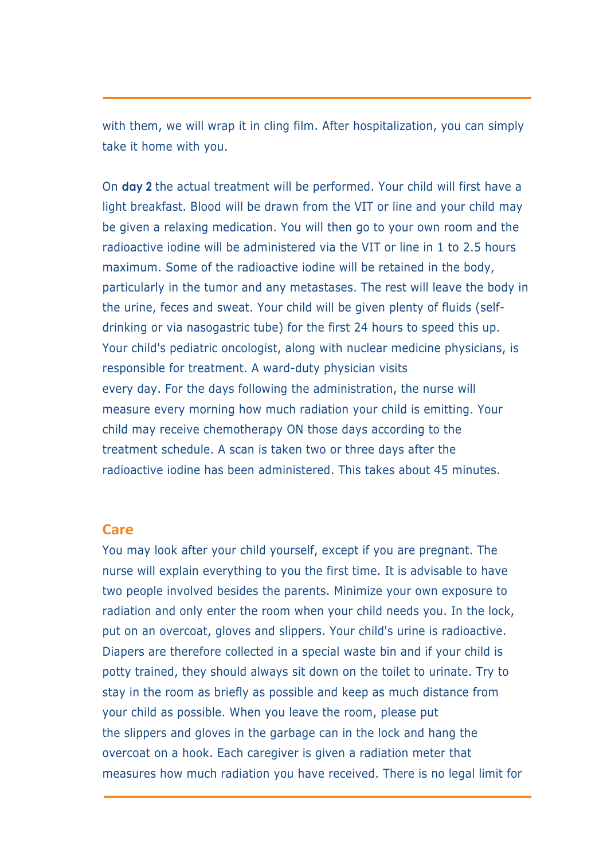with them, we will wrap it in cling film. After hospitalization, you can simply take it home with you.

On **day 2** the actual treatment will be performed. Your child will first have a light breakfast. Blood will be drawn from the VIT or line and your child may be given a relaxing medication. You will then go to your own room and the radioactive iodine will be administered via the VIT or line in 1 to 2.5 hours maximum. Some of the radioactive iodine will be retained in the body, particularly in the tumor and any metastases. The rest will leave the body in the urine, feces and sweat. Your child will be given plenty of fluids (selfdrinking or via nasogastric tube) for the first 24 hours to speed this up. Your child's pediatric oncologist, along with nuclear medicine physicians, is responsible for treatment. A ward-duty physician visits every day. For the days following the administration, the nurse will measure every morning how much radiation your child is emitting. Your child may receive chemotherapy ON those days according to the treatment schedule. A scan is taken two or three days after the radioactive iodine has been administered. This takes about 45 minutes.

#### **Care**

You may look after your child yourself, except if you are pregnant. The nurse will explain everything to you the first time. It is advisable to have two people involved besides the parents. Minimize your own exposure to radiation and only enter the room when your child needs you. In the lock, put on an overcoat, gloves and slippers. Your child's urine is radioactive. Diapers are therefore collected in a special waste bin and if your child is potty trained, they should always sit down on the toilet to urinate. Try to stay in the room as briefly as possible and keep as much distance from your child as possible. When you leave the room, please put the slippers and gloves in the garbage can in the lock and hang the overcoat on a hook. Each caregiver is given a radiation meter that measures how much radiation you have received. There is no legal limit for